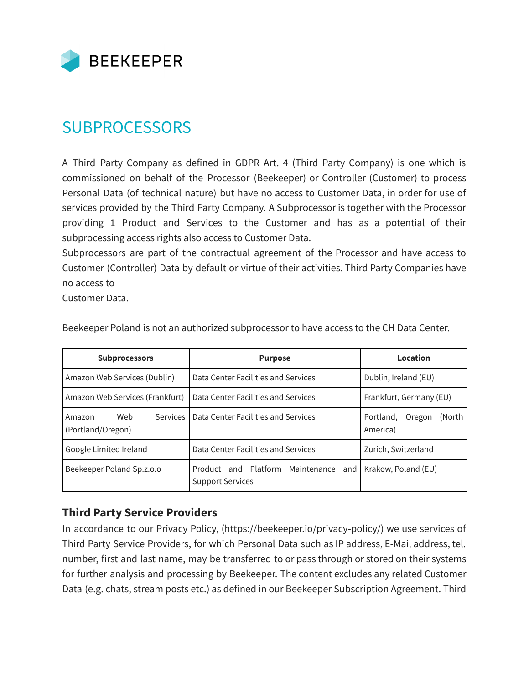

## **SUBPROCESSORS**

A Third Party Company as defined in GDPR Art. 4 (Third Party Company) is one which is commissioned on behalf of the Processor (Beekeeper) or Controller (Customer) to process Personal Data (of technical nature) but have no access to Customer Data, in order for use of services provided by the Third Party Company. A Subprocessor is together with the Processor providing 1 Product and Services to the Customer and has as a potential of their subprocessing access rights also access to Customer Data.

Subprocessors are part of the contractual agreement of the Processor and have access to Customer (Controller) Data by default or virtue of their activities. Third Party Companies have no access to

Customer Data.

| <b>Subprocessors</b>                             | <b>Purpose</b>                                                       | Location                                  |
|--------------------------------------------------|----------------------------------------------------------------------|-------------------------------------------|
| Amazon Web Services (Dublin)                     | Data Center Facilities and Services                                  | Dublin, Ireland (EU)                      |
| Amazon Web Services (Frankfurt)                  | Data Center Facilities and Services                                  | Frankfurt, Germany (EU)                   |
| Web<br>Services  <br>Amazon<br>(Portland/Oregon) | Data Center Facilities and Services                                  | Portland.<br>(North<br>Oregon<br>America) |
| Google Limited Ireland                           | Data Center Facilities and Services                                  | Zurich, Switzerland                       |
| Beekeeper Poland Sp.z.o.o                        | Product and Platform Maintenance<br>and I<br><b>Support Services</b> | Krakow, Poland (EU)                       |

Beekeeper Poland is not an authorized subprocessor to have access to the CH Data Center.

## **Third Party Service Providers**

In accordance to our Privacy Policy, (https://beekeeper.io/privacy-policy/) we use services of Third Party Service Providers, for which Personal Data such as IP address, E-Mail address, tel. number, first and last name, may be transferred to or pass through or stored on their systems for further analysis and processing by Beekeeper. The content excludes any related Customer Data (e.g. chats, stream posts etc.) as defined in our Beekeeper Subscription Agreement. Third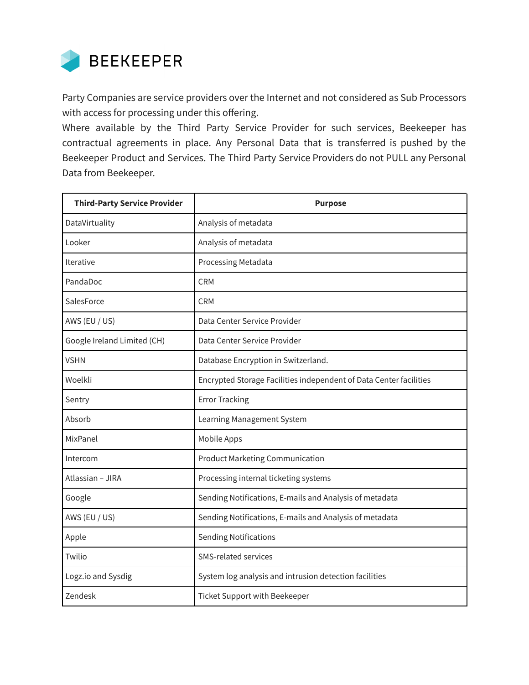

Party Companies are service providers over the Internet and not considered as Sub Processors with access for processing under this offering.

Where available by the Third Party Service Provider for such services, Beekeeper has contractual agreements in place. Any Personal Data that is transferred is pushed by the Beekeeper Product and Services. The Third Party Service Providers do not PULL any Personal Data from Beekeeper.

| <b>Third-Party Service Provider</b> | <b>Purpose</b>                                                     |  |
|-------------------------------------|--------------------------------------------------------------------|--|
| DataVirtuality                      | Analysis of metadata                                               |  |
| Looker                              | Analysis of metadata                                               |  |
| Iterative                           | Processing Metadata                                                |  |
| PandaDoc                            | <b>CRM</b>                                                         |  |
| SalesForce                          | <b>CRM</b>                                                         |  |
| AWS (EU / US)                       | Data Center Service Provider                                       |  |
| Google Ireland Limited (CH)         | Data Center Service Provider                                       |  |
| <b>VSHN</b>                         | Database Encryption in Switzerland.                                |  |
| Woelkli                             | Encrypted Storage Facilities independent of Data Center facilities |  |
| Sentry                              | <b>Error Tracking</b>                                              |  |
| Absorb                              | Learning Management System                                         |  |
| MixPanel                            | Mobile Apps                                                        |  |
| Intercom                            | <b>Product Marketing Communication</b>                             |  |
| Atlassian - JIRA                    | Processing internal ticketing systems                              |  |
| Google                              | Sending Notifications, E-mails and Analysis of metadata            |  |
| AWS (EU / US)                       | Sending Notifications, E-mails and Analysis of metadata            |  |
| Apple                               | <b>Sending Notifications</b>                                       |  |
| Twilio                              | SMS-related services                                               |  |
| Logz.io and Sysdig                  | System log analysis and intrusion detection facilities             |  |
| Zendesk                             | Ticket Support with Beekeeper                                      |  |